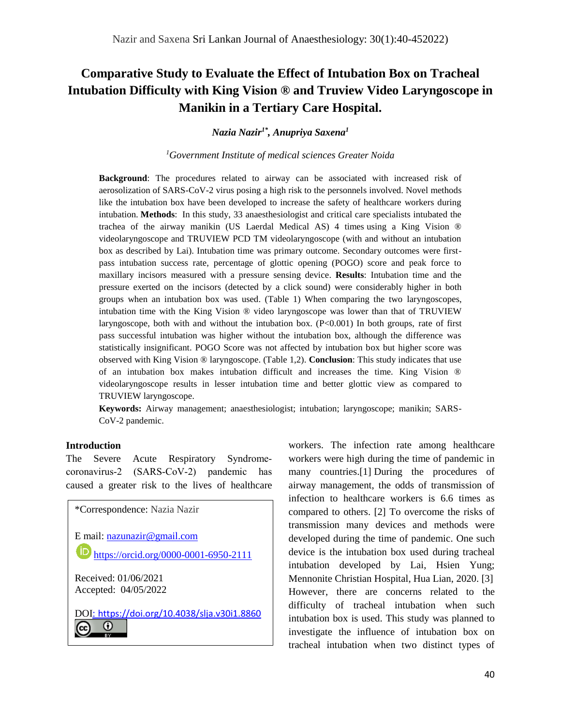# **Comparative Study to Evaluate the Effect of Intubation Box on Tracheal Intubation Difficulty with King Vision ® and Truview Video Laryngoscope in Manikin in a Tertiary Care Hospital.**

*Nazia Nazir1\*, Anupriya Saxena<sup>1</sup>*

*<sup>1</sup>Government Institute of medical sciences Greater Noida*

**Background**: The procedures related to airway can be associated with increased risk of aerosolization of SARS-CoV-2 virus posing a high risk to the personnels involved. Novel methods like the intubation box have been developed to increase the safety of healthcare workers during intubation. **Methods**: In this study, 33 anaesthesiologist and critical care specialists intubated the trachea of the airway manikin (US Laerdal Medical AS) 4 times using a King Vision ® videolaryngoscope and TRUVIEW PCD TM videolaryngoscope (with and without an intubation box as described by Lai). Intubation time was primary outcome. Secondary outcomes were firstpass intubation success rate, percentage of glottic opening (POGO) score and peak force to maxillary incisors measured with a pressure sensing device. **Results**: Intubation time and the pressure exerted on the incisors (detected by a click sound) were considerably higher in both groups when an intubation box was used. (Table 1) When comparing the two laryngoscopes, intubation time with the King Vision ® video laryngoscope was lower than that of TRUVIEW laryngoscope, both with and without the intubation box. (P<0.001) In both groups, rate of first pass successful intubation was higher without the intubation box, although the difference was statistically insignificant. POGO Score was not affected by intubation box but higher score was observed with King Vision ® laryngoscope. (Table 1,2). **Conclusion**: This study indicates that use of an intubation box makes intubation difficult and increases the time. King Vision ® videolaryngoscope results in lesser intubation time and better glottic view as compared to TRUVIEW laryngoscope.

**Keywords:** Airway management; anaesthesiologist; intubation; laryngoscope; manikin; SARS-CoV-2 pandemic.

### **Introduction**

(cc)

The Severe Acute Respiratory Syndromecoronavirus‐2 (SARS‐CoV‐2) pandemic has caused a greater risk to the lives of healthcare

\*Correspondence: Nazia Nazir E mail: [nazunazir@gmail.com](mailto:nazunazir@gmail.com) **<https://orcid.org/0000-0001-6950-2111>** Received: 01/06/2021 Accepted: 04/05/2022 DOI: <https://doi.org/10.4038/slja.v30i1.8860> $\odot$ 

workers. The infection rate among healthcare workers were high during the time of pandemic in many countries.[1] During the procedures of airway management, the odds of transmission of infection to healthcare workers is 6.6 times as compared to others. [2] To overcome the risks of transmission many devices and methods were developed during the time of pandemic. One such device is the intubation box used during tracheal intubation developed by Lai, Hsien Yung; Mennonite Christian Hospital, Hua Lian, 2020. [3] However, there are concerns related to the difficulty of tracheal intubation when such intubation box is used. This study was planned to investigate the influence of intubation box on tracheal intubation when two distinct types of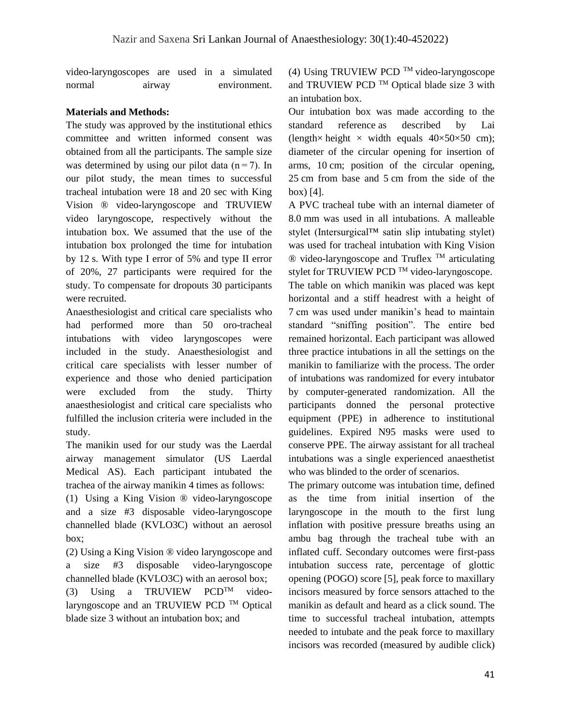video-laryngoscopes are used in a simulated normal airway environment.

## **Materials and Methods:**

The study was approved by the institutional ethics committee and written informed consent was obtained from all the participants. The sample size was determined by using our pilot data  $(n=7)$ . In our pilot study, the mean times to successful tracheal intubation were 18 and 20 sec with King Vision ® video-laryngoscope and TRUVIEW video laryngoscope, respectively without the intubation box. We assumed that the use of the intubation box prolonged the time for intubation by 12 s. With type I error of 5% and type II error of 20%, 27 participants were required for the study. To compensate for dropouts 30 participants were recruited.

Anaesthesiologist and critical care specialists who had performed more than 50 oro-tracheal intubations with video laryngoscopes were included in the study. Anaesthesiologist and critical care specialists with lesser number of experience and those who denied participation were excluded from the study. Thirty anaesthesiologist and critical care specialists who fulfilled the inclusion criteria were included in the study.

The manikin used for our study was the Laerdal airway management simulator (US Laerdal Medical AS). Each participant intubated the trachea of the airway manikin 4 times as follows:

(1) Using a King Vision ® video-laryngoscope and a size #3 disposable video-laryngoscope channelled blade (KVLO3C) without an aerosol box;

(2) Using a King Vision ® video laryngoscope and a size #3 disposable video-laryngoscope channelled blade (KVLO3C) with an aerosol box;

(3) Using a TRUVIEW PCD<sup>TM</sup> videolaryngoscope and an TRUVIEW PCD  $^{TM}$  Optical blade size 3 without an intubation box; and

(4) Using TRUVIEW PCD  $^{TM}$  video-laryngoscope and TRUVIEW PCD TM Optical blade size 3 with an intubation box.

Our intubation box was made according to the standard reference as described by Lai (length× height × width equals  $40 \times 50 \times 50$  cm); diameter of the circular opening for insertion of arms, 10 cm; position of the circular opening, 25 cm from base and 5 cm from the side of the box) [4].

A PVC tracheal tube with an internal diameter of 8.0 mm was used in all intubations. A malleable stylet (Intersurgical™ satin slip intubating stylet) was used for tracheal intubation with King Vision  $\circledR$  video-laryngoscope and Truflex <sup>TM</sup> articulating stylet for TRUVIEW PCD TM video-laryngoscope. The table on which manikin was placed was kept horizontal and a stiff headrest with a height of 7 cm was used under manikin's head to maintain standard "sniffing position". The entire bed remained horizontal. Each participant was allowed three practice intubations in all the settings on the manikin to familiarize with the process. The order of intubations was randomized for every intubator by computer-generated randomization. All the participants donned the personal protective equipment (PPE) in adherence to institutional guidelines. Expired N95 masks were used to conserve PPE. The airway assistant for all tracheal intubations was a single experienced anaesthetist who was blinded to the order of scenarios.

The primary outcome was intubation time, defined as the time from initial insertion of the laryngoscope in the mouth to the first lung inflation with positive pressure breaths using an ambu bag through the tracheal tube with an inflated cuff. Secondary outcomes were first-pass intubation success rate, percentage of glottic opening (POGO) score [\[5\]](https://www.ncbi.nlm.nih.gov/pmc/articles/PMC7387416/#CR4), peak force to maxillary incisors measured by force sensors attached to the manikin as default and heard as a click sound. The time to successful tracheal intubation, attempts needed to intubate and the peak force to maxillary incisors was recorded (measured by audible click)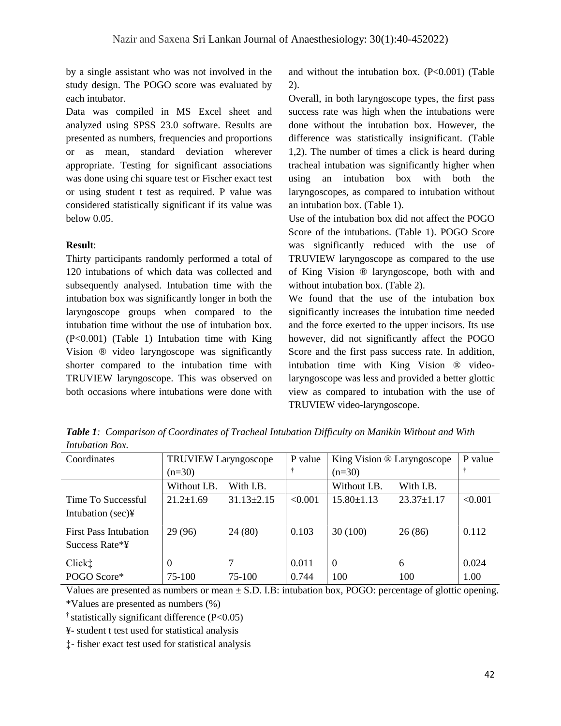by a single assistant who was not involved in the study design. The POGO score was evaluated by each intubator.

Data was compiled in MS Excel sheet and analyzed using SPSS 23.0 software. Results are presented as numbers, frequencies and proportions or as mean, standard deviation wherever appropriate. Testing for significant associations was done using chi square test or Fischer exact test or using student t test as required. P value was considered statistically significant if its value was below 0.05.

## **Result**:

Thirty participants randomly performed a total of 120 intubations of which data was collected and subsequently analysed. Intubation time with the intubation box was significantly longer in both the laryngoscope groups when compared to the intubation time without the use of intubation box. (P<0.001) (Table 1) Intubation time with King Vision ® video laryngoscope was significantly shorter compared to the intubation time with TRUVIEW laryngoscope. This was observed on both occasions where intubations were done with and without the intubation box.  $(P<0.001)$  (Table 2).

Overall, in both laryngoscope types, the first pass success rate was high when the intubations were done without the intubation box. However, the difference was statistically insignificant. (Table 1,2). The number of times a click is heard during tracheal intubation was significantly higher when using an intubation box with both the laryngoscopes, as compared to intubation without an intubation box. (Table 1).

Use of the intubation box did not affect the POGO Score of the intubations. (Table 1). POGO Score was significantly reduced with the use of TRUVIEW laryngoscope as compared to the use of King Vision ® laryngoscope, both with and without intubation box. (Table 2).

We found that the use of the intubation box significantly increases the intubation time needed and the force exerted to the upper incisors. Its use however, did not significantly affect the POGO Score and the first pass success rate. In addition, intubation time with King Vision ® videolaryngoscope was less and provided a better glottic view as compared to intubation with the use of TRUVIEW video-laryngoscope.

| Coordinates                                    | <b>TRUVIEW Laryngoscope</b> |                  | P value        | King Vision ® Laryngoscope |                  | P value       |
|------------------------------------------------|-----------------------------|------------------|----------------|----------------------------|------------------|---------------|
|                                                | $(n=30)$                    |                  |                | $(n=30)$                   |                  |               |
|                                                | Without I.B.                | With I.B.        |                | Without I.B.               | With I.B.        |               |
| Time To Successful<br>Intubation $(\sec)$      | $21.2 \pm 1.69$             | $31.13 \pm 2.15$ | < 0.001        | $15.80 \pm 1.13$           | $23.37 \pm 1.17$ | < 0.001       |
| <b>First Pass Intubation</b><br>Success Rate*¥ | 29 (96)                     | 24 (80)          | 0.103          | 30(100)                    | 26(86)           | 0.112         |
| Click <sup>†</sup><br>POGO Score*              | 0<br>75-100                 | 7<br>75-100      | 0.011<br>0.744 | $\Omega$<br>100            | 6<br>100         | 0.024<br>1.00 |

*Table 1: Comparison of Coordinates of Tracheal Intubation Difficulty on Manikin Without and With Intubation Box.*

Values are presented as numbers or mean  $\pm$  S.D. I.B: intubation box, POGO: percentage of glottic opening. \*Values are presented as numbers (%)

 $\dagger$  statistically significant difference (P<0.05)

¥- student t test used for statistical analysis

‡- fisher exact test used for statistical analysis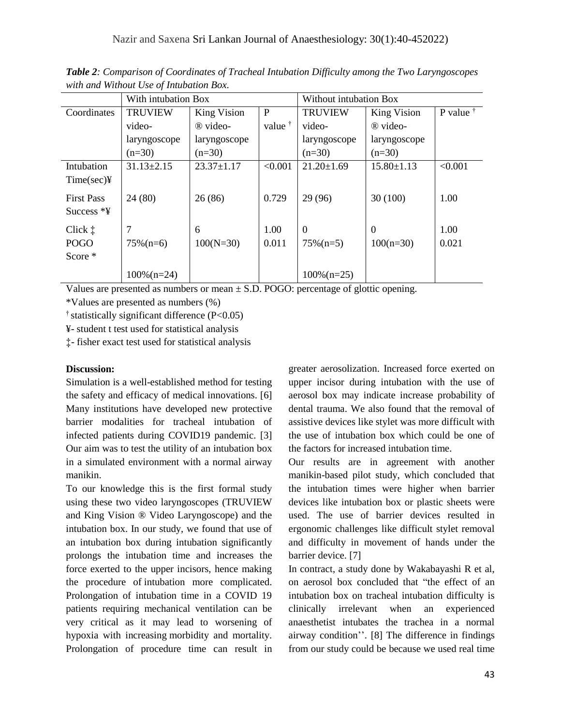|                                            | With intubation Box |                    |                 | Without intubation Box   |                               |                   |  |
|--------------------------------------------|---------------------|--------------------|-----------------|--------------------------|-------------------------------|-------------------|--|
| Coordinates                                | <b>TRUVIEW</b>      | <b>King Vision</b> | $\mathbf{P}$    | <b>TRUVIEW</b>           | <b>King Vision</b>            | P value $\dagger$ |  |
|                                            | video-              | ® video-           | value $\dagger$ | video-                   | ® video-                      |                   |  |
|                                            | laryngoscope        | laryngoscope       |                 | laryngoscope             | laryngoscope                  |                   |  |
|                                            | $(n=30)$            | $(n=30)$           |                 | $(n=30)$                 | $(n=30)$                      |                   |  |
| Intubation<br>$Time(sec)$ ¥                | $31.13 \pm 2.15$    | $23.37 \pm 1.17$   | < 0.001         | $21.20 \pm 1.69$         | $15.80 \pm 1.13$              | < 0.001           |  |
| <b>First Pass</b><br>Success $*$           | 24(80)              | 26(86)             | 0.729           | 29 (96)                  | 30(100)                       | 1.00              |  |
| Click $\ddagger$<br><b>POGO</b><br>Score * | 7<br>$75\%$ (n=6)   | 6<br>$100(N=30)$   | 1.00<br>0.011   | $\Omega$<br>$75\%$ (n=5) | $\overline{0}$<br>$100(n=30)$ | 1.00<br>0.021     |  |
|                                            | $100\%$ (n=24)      |                    |                 | $100\%$ (n=25)           |                               |                   |  |

*Table 2: Comparison of Coordinates of Tracheal Intubation Difficulty among the Two Laryngoscopes with and Without Use of Intubation Box*.

Values are presented as numbers or mean  $\pm$  S.D. POGO: percentage of glottic opening.

\*Values are presented as numbers (%)

 $\dagger$  statistically significant difference (P<0.05)

¥- student t test used for statistical analysis

‡- fisher exact test used for statistical analysis

### **Discussion:**

Simulation is a well-established method for testing the safety and efficacy of medical innovations. [6] Many institutions have developed new protective barrier modalities for tracheal intubation of infected patients during COVID19 pandemic. [3] Our aim was to test the utility of an intubation box in a simulated environment with a normal airway manikin.

To our knowledge this is the first formal study using these two video laryngoscopes (TRUVIEW and King Vision ® Video Laryngoscope) and the intubation box. In our study, we found that use of an intubation box during intubation significantly prolongs the intubation time and increases the force exerted to the upper incisors, hence making the procedure of intubation more complicated. Prolongation of intubation time in a COVID 19 patients requiring mechanical ventilation can be very critical as it may lead to worsening of hypoxia with increasing morbidity and mortality. Prolongation of procedure time can result in greater aerosolization. Increased force exerted on upper incisor during intubation with the use of aerosol box may indicate increase probability of dental trauma. We also found that the removal of assistive devices like stylet was more difficult with the use of intubation box which could be one of the factors for increased intubation time.

Our results are in agreement with another manikin-based pilot study, which concluded that the intubation times were higher when barrier devices like intubation box or plastic sheets were used. The use of barrier devices resulted in ergonomic challenges like difficult stylet removal and difficulty in movement of hands under the barrier device. [7]

In contract, a study done by Wakabayashi R et al, on aerosol box concluded that "the effect of an intubation box on tracheal intubation difficulty is clinically irrelevant when an experienced anaesthetist intubates the trachea in a normal airway condition''. [8] The difference in findings from our study could be because we used real time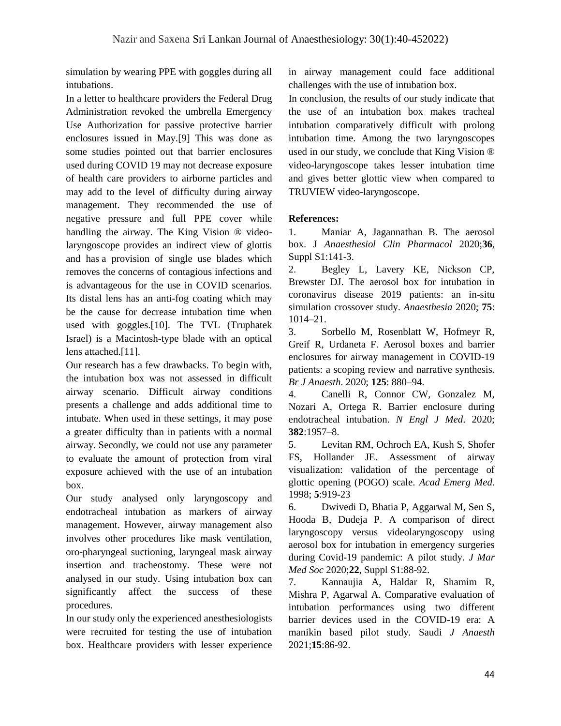simulation by wearing PPE with goggles during all intubations.

In a letter to healthcare providers the Federal Drug Administration revoked the umbrella Emergency Use Authorization for passive protective barrier enclosures issued in May.[9] This was done as some studies pointed out that barrier enclosures used during COVID 19 may not decrease exposure of health care providers to airborne particles and may add to the level of difficulty during airway management. They recommended the use of negative pressure and full PPE cover while handling the airway. The King Vision ® videolaryngoscope provides an indirect view of glottis and has a provision of single use blades which removes the concerns of contagious infections and is advantageous for the use in COVID scenarios. Its distal lens has an anti-fog coating which may be the cause for decrease intubation time when used with goggles.[10]. The TVL (Truphatek Israel) is a Macintosh-type blade with an optical lens attached.[11].

Our research has a few drawbacks. To begin with, the intubation box was not assessed in difficult airway scenario. Difficult airway conditions presents a challenge and adds additional time to intubate. When used in these settings, it may pose a greater difficulty than in patients with a normal airway. Secondly, we could not use any parameter to evaluate the amount of protection from viral exposure achieved with the use of an intubation box.

Our study analysed only laryngoscopy and endotracheal intubation as markers of airway management. However, airway management also involves other procedures like mask ventilation, oro-pharyngeal suctioning, laryngeal mask airway insertion and tracheostomy. These were not analysed in our study. Using intubation box can significantly affect the success of these procedures.

In our study only the experienced anesthesiologists were recruited for testing the use of intubation box. Healthcare providers with lesser experience in airway management could face additional challenges with the use of intubation box.

In conclusion, the results of our study indicate that the use of an intubation box makes tracheal intubation comparatively difficult with prolong intubation time. Among the two laryngoscopes used in our study, we conclude that King Vision ® video-laryngoscope takes lesser intubation time and gives better glottic view when compared to TRUVIEW video-laryngoscope.

# **References:**

1. Maniar A, Jagannathan B. The aerosol box. J *Anaesthesiol Clin Pharmacol* 2020;**36**, Suppl S1:141-3.

2. Begley L, Lavery KE, Nickson CP, Brewster DJ. The aerosol box for intubation in coronavirus disease 2019 patients: an in-situ simulation crossover study. *Anaesthesia* 2020; **75**: 1014–21.

3. Sorbello M, Rosenblatt W, Hofmeyr R, Greif R, Urdaneta F. [Aerosol boxes and barrier](https://www.ncbi.nlm.nih.gov/pmc/articles/PMC7470712/)  [enclosures for airway management in COVID-19](https://www.ncbi.nlm.nih.gov/pmc/articles/PMC7470712/)  [patients: a scoping review and narrative synthesis.](https://www.ncbi.nlm.nih.gov/pmc/articles/PMC7470712/) *Br J Anaesth*. 2020; **125**: 880–94.

4. Canelli R, Connor CW, Gonzalez M, Nozari A, Ortega R. Barrier enclosure during endotracheal intubation. *N Engl J Med*. 2020; **382**:1957–8.

5. Levitan RM, Ochroch EA, Kush S, Shofer FS, Hollander JE. Assessment of airway visualization: validation of the percentage of glottic opening (POGO) scale. *Acad Emerg Med*. 1998; **5**:919-23

6. Dwivedi D, Bhatia P, Aggarwal M, Sen S, Hooda B, Dudeja P. A comparison of direct laryngoscopy versus videolaryngoscopy using aerosol box for intubation in emergency surgeries during Covid-19 pandemic: A pilot study. *J Mar Med Soc* 2020;**22**, Suppl S1:88-92.

7. Kannaujia A, Haldar R, Shamim R, Mishra P, Agarwal A. Comparative evaluation of intubation performances using two different barrier devices used in the COVID-19 era: A manikin based pilot study. Saudi *J Anaesth* 2021;**15**:86-92.